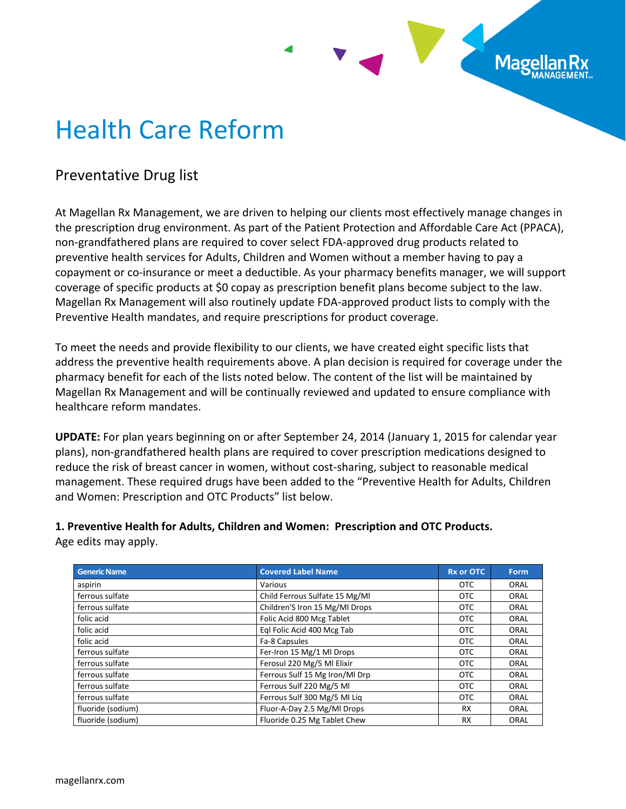# Health Care Reform

## Preventative Drug list

At Magellan Rx Management, we are driven to helping our clients most effectively manage changes in the prescription drug environment. As part of the Patient Protection and Affordable Care Act (PPACA), non-grandfathered plans are required to cover select FDA-approved drug products related to preventive health services for Adults, Children and Women without a member having to pay a copayment or co-insurance or meet a deductible. As your pharmacy benefits manager, we will support coverage of specific products at \$0 copay as prescription benefit plans become subject to the law. Magellan Rx Management will also routinely update FDA-approved product lists to comply with the Preventive Health mandates, and require prescriptions for product coverage.

**Mage** 

To meet the needs and provide flexibility to our clients, we have created eight specific lists that address the preventive health requirements above. A plan decision is required for coverage under the pharmacy benefit for each of the lists noted below. The content of the list will be maintained by Magellan Rx Management and will be continually reviewed and updated to ensure compliance with healthcare reform mandates.

**UPDATE:** For plan years beginning on or after September 24, 2014 (January 1, 2015 for calendar year plans), non-grandfathered health plans are required to cover prescription medications designed to reduce the risk of breast cancer in women, without cost-sharing, subject to reasonable medical management. These required drugs have been added to the "Preventive Health for Adults, Children and Women: Prescription and OTC Products" list below.

**1. Preventive Health for Adults, Children and Women: Prescription and OTC Products.** Age edits may apply.

| <b>Generic Name</b> | <b>Covered Label Name</b>      | <b>Rx or OTC</b> | Form |
|---------------------|--------------------------------|------------------|------|
| aspirin             | Various                        | <b>OTC</b>       | ORAL |
| ferrous sulfate     | Child Ferrous Sulfate 15 Mg/Ml | <b>OTC</b>       | ORAL |
| ferrous sulfate     | Children'S Iron 15 Mg/Ml Drops | <b>OTC</b>       | ORAL |
| folic acid          | Folic Acid 800 Mcg Tablet      | OTC              | ORAL |
| folic acid          | Egl Folic Acid 400 Mcg Tab     | OTC              | ORAL |
| folic acid          | Fa-8 Capsules                  | <b>OTC</b>       | ORAL |
| ferrous sulfate     | Fer-Iron 15 Mg/1 MI Drops      | <b>OTC</b>       | ORAL |
| ferrous sulfate     | Ferosul 220 Mg/5 Ml Elixir     | <b>OTC</b>       | ORAL |
| ferrous sulfate     | Ferrous Sulf 15 Mg Iron/Ml Drp | <b>OTC</b>       | ORAL |
| ferrous sulfate     | Ferrous Sulf 220 Mg/5 Ml       | <b>OTC</b>       | ORAL |
| ferrous sulfate     | Ferrous Sulf 300 Mg/5 MI Lig   | <b>OTC</b>       | ORAL |
| fluoride (sodium)   | Fluor-A-Day 2.5 Mg/Ml Drops    | <b>RX</b>        | ORAL |
| fluoride (sodium)   | Fluoride 0.25 Mg Tablet Chew   | <b>RX</b>        | ORAL |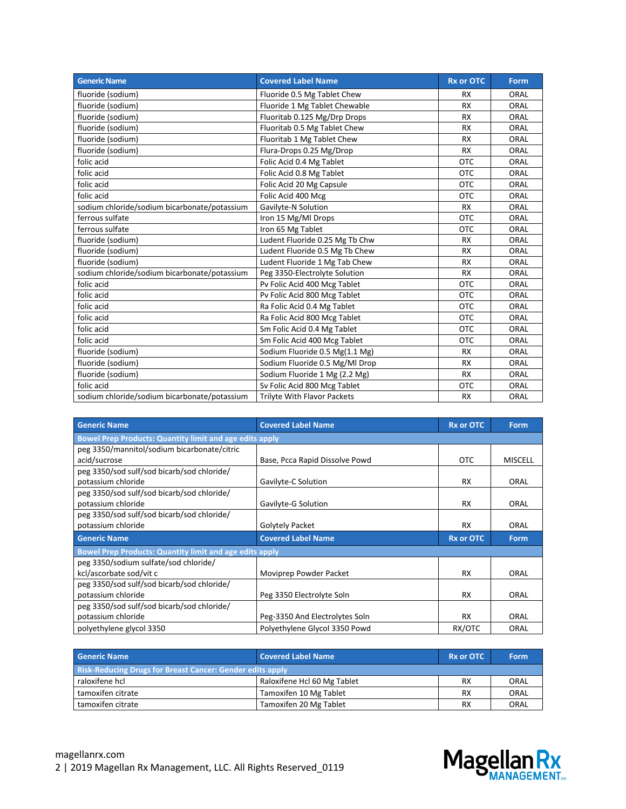| <b>Generic Name</b>                          | <b>Covered Label Name</b>          | <b>Rx or OTC</b> | <b>Form</b> |
|----------------------------------------------|------------------------------------|------------------|-------------|
| fluoride (sodium)                            | Fluoride 0.5 Mg Tablet Chew        | <b>RX</b>        | ORAL        |
| fluoride (sodium)                            | Fluoride 1 Mg Tablet Chewable      | <b>RX</b>        | ORAL        |
| fluoride (sodium)                            | Fluoritab 0.125 Mg/Drp Drops       | <b>RX</b>        | ORAL        |
| fluoride (sodium)                            | Fluoritab 0.5 Mg Tablet Chew       | <b>RX</b>        | ORAL        |
| fluoride (sodium)                            | Fluoritab 1 Mg Tablet Chew         | <b>RX</b>        | ORAL        |
| fluoride (sodium)                            | Flura-Drops 0.25 Mg/Drop           | <b>RX</b>        | ORAL        |
| folic acid                                   | Folic Acid 0.4 Mg Tablet           | <b>OTC</b>       | ORAL        |
| folic acid                                   | Folic Acid 0.8 Mg Tablet           | <b>OTC</b>       | ORAL        |
| folic acid                                   | Folic Acid 20 Mg Capsule           | <b>OTC</b>       | ORAL        |
| folic acid                                   | Folic Acid 400 Mcg                 | <b>OTC</b>       | ORAL        |
| sodium chloride/sodium bicarbonate/potassium | Gavilyte-N Solution                | <b>RX</b>        | ORAL        |
| ferrous sulfate                              | Iron 15 Mg/Ml Drops                | <b>OTC</b>       | ORAL        |
| ferrous sulfate                              | Iron 65 Mg Tablet                  | <b>OTC</b>       | ORAL        |
| fluoride (sodium)                            | Ludent Fluoride 0.25 Mg Tb Chw     | <b>RX</b>        | ORAL        |
| fluoride (sodium)                            | Ludent Fluoride 0.5 Mg Tb Chew     | <b>RX</b>        | ORAL        |
| fluoride (sodium)                            | Ludent Fluoride 1 Mg Tab Chew      | <b>RX</b>        | ORAL        |
| sodium chloride/sodium bicarbonate/potassium | Peg 3350-Electrolyte Solution      | <b>RX</b>        | ORAL        |
| folic acid                                   | Pv Folic Acid 400 Mcg Tablet       | <b>OTC</b>       | ORAL        |
| folic acid                                   | Pv Folic Acid 800 Mcg Tablet       | <b>OTC</b>       | ORAL        |
| folic acid                                   | Ra Folic Acid 0.4 Mg Tablet        | <b>OTC</b>       | ORAL        |
| folic acid                                   | Ra Folic Acid 800 Mcg Tablet       | <b>OTC</b>       | ORAL        |
| folic acid                                   | Sm Folic Acid 0.4 Mg Tablet        | <b>OTC</b>       | ORAL        |
| folic acid                                   | Sm Folic Acid 400 Mcg Tablet       | <b>OTC</b>       | ORAL        |
| fluoride (sodium)                            | Sodium Fluoride 0.5 Mg(1.1 Mg)     | <b>RX</b>        | ORAL        |
| fluoride (sodium)                            | Sodium Fluoride 0.5 Mg/Ml Drop     | <b>RX</b>        | ORAL        |
| fluoride (sodium)                            | Sodium Fluoride 1 Mg (2.2 Mg)      | <b>RX</b>        | ORAL        |
| folic acid                                   | Sv Folic Acid 800 Mcg Tablet       | <b>OTC</b>       | ORAL        |
| sodium chloride/sodium bicarbonate/potassium | <b>Trilyte With Flavor Packets</b> | <b>RX</b>        | ORAL        |

| <b>Generic Name</b>                                            | <b>Covered Label Name</b>                                      | <b>Rx or OTC</b> | <b>Form</b>    |  |  |
|----------------------------------------------------------------|----------------------------------------------------------------|------------------|----------------|--|--|
|                                                                | <b>Bowel Prep Products: Quantity limit and age edits apply</b> |                  |                |  |  |
| peg 3350/mannitol/sodium bicarbonate/citric                    |                                                                |                  |                |  |  |
| acid/sucrose                                                   | Base, Pcca Rapid Dissolve Powd                                 | <b>OTC</b>       | <b>MISCELL</b> |  |  |
| peg 3350/sod sulf/sod bicarb/sod chloride/                     |                                                                |                  |                |  |  |
| potassium chloride                                             | Gavilyte-C Solution                                            | <b>RX</b>        | ORAL           |  |  |
| peg 3350/sod sulf/sod bicarb/sod chloride/                     |                                                                |                  |                |  |  |
| potassium chloride                                             | Gavilyte-G Solution                                            | <b>RX</b>        | ORAL           |  |  |
| peg 3350/sod sulf/sod bicarb/sod chloride/                     |                                                                |                  |                |  |  |
| potassium chloride                                             | Golytely Packet                                                | <b>RX</b>        | ORAL           |  |  |
| <b>Generic Name</b>                                            | <b>Covered Label Name</b>                                      | <b>Rx or OTC</b> | <b>Form</b>    |  |  |
| <b>Bowel Prep Products: Quantity limit and age edits apply</b> |                                                                |                  |                |  |  |
| peg 3350/sodium sulfate/sod chloride/                          |                                                                |                  |                |  |  |
| kcl/ascorbate sod/vit c                                        | Moviprep Powder Packet                                         | <b>RX</b>        | ORAL           |  |  |
| peg 3350/sod sulf/sod bicarb/sod chloride/                     |                                                                |                  |                |  |  |
| potassium chloride                                             | Peg 3350 Electrolyte Soln                                      | <b>RX</b>        | ORAL           |  |  |
| peg 3350/sod sulf/sod bicarb/sod chloride/                     |                                                                |                  |                |  |  |
| potassium chloride                                             | Peg-3350 And Electrolytes Soln                                 | <b>RX</b>        | ORAL           |  |  |
| polyethylene glycol 3350                                       | Polyethylene Glycol 3350 Powd                                  | RX/OTC           | ORAL           |  |  |

| <b>Generic Name</b>                                              | <b>Covered Label Name</b>   | <b>Rx or OTC</b> | Form |
|------------------------------------------------------------------|-----------------------------|------------------|------|
| <b>Risk-Reducing Drugs for Breast Cancer: Gender edits apply</b> |                             |                  |      |
| raloxifene hcl                                                   | Raloxifene Hcl 60 Mg Tablet | <b>RX</b>        | ORAL |
| tamoxifen citrate                                                | Tamoxifen 10 Mg Tablet      | <b>RX</b>        | ORAL |
| tamoxifen citrate                                                | Tamoxifen 20 Mg Tablet      | <b>RX</b>        | ORAL |

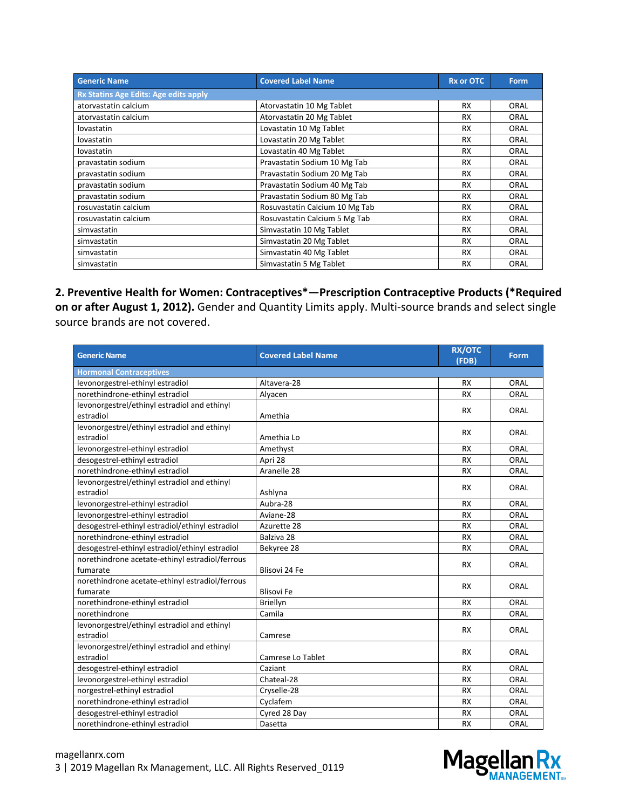| <b>Generic Name</b>                          | <b>Covered Label Name</b>      | <b>Rx or OTC</b> | Form |
|----------------------------------------------|--------------------------------|------------------|------|
| <b>Rx Statins Age Edits: Age edits apply</b> |                                |                  |      |
| atorvastatin calcium                         | Atorvastatin 10 Mg Tablet      | <b>RX</b>        | ORAL |
| atorvastatin calcium                         | Atorvastatin 20 Mg Tablet      | <b>RX</b>        | ORAL |
| lovastatin                                   | Lovastatin 10 Mg Tablet        | <b>RX</b>        | ORAL |
| lovastatin                                   | Lovastatin 20 Mg Tablet        | <b>RX</b>        | ORAL |
| lovastatin                                   | Lovastatin 40 Mg Tablet        | <b>RX</b>        | ORAL |
| pravastatin sodium                           | Pravastatin Sodium 10 Mg Tab   | <b>RX</b>        | ORAL |
| pravastatin sodium                           | Pravastatin Sodium 20 Mg Tab   | <b>RX</b>        | ORAL |
| pravastatin sodium                           | Pravastatin Sodium 40 Mg Tab   | <b>RX</b>        | ORAL |
| pravastatin sodium                           | Pravastatin Sodium 80 Mg Tab   | <b>RX</b>        | ORAL |
| rosuvastatin calcium                         | Rosuvastatin Calcium 10 Mg Tab | <b>RX</b>        | ORAL |
| rosuvastatin calcium                         | Rosuvastatin Calcium 5 Mg Tab  | <b>RX</b>        | ORAL |
| simvastatin                                  | Simvastatin 10 Mg Tablet       | <b>RX</b>        | ORAL |
| simvastatin                                  | Simvastatin 20 Mg Tablet       | <b>RX</b>        | ORAL |
| simvastatin                                  | Simvastatin 40 Mg Tablet       | <b>RX</b>        | ORAL |
| simvastatin                                  | Simvastatin 5 Mg Tablet        | <b>RX</b>        | ORAL |

**2. Preventive Health for Women: Contraceptives\*—Prescription Contraceptive Products (\*Required on or after August 1, 2012).** Gender and Quantity Limits apply. Multi-source brands and select single source brands are not covered.

| <b>Generic Name</b>                             | <b>Covered Label Name</b> | <b>RX/OTC</b><br>(FDB) | Form        |
|-------------------------------------------------|---------------------------|------------------------|-------------|
| <b>Hormonal Contraceptives</b>                  |                           |                        |             |
| levonorgestrel-ethinyl estradiol                | Altavera-28               | <b>RX</b>              | ORAL        |
| norethindrone-ethinyl estradiol                 | Alyacen                   | <b>RX</b>              | ORAL        |
| levonorgestrel/ethinyl estradiol and ethinyl    |                           | <b>RX</b>              | ORAL        |
| estradiol                                       | Amethia                   |                        |             |
| levonorgestrel/ethinyl estradiol and ethinyl    |                           | <b>RX</b>              | ORAL        |
| estradiol                                       | Amethia Lo                |                        |             |
| levonorgestrel-ethinyl estradiol                | Amethyst                  | <b>RX</b>              | ORAL        |
| desogestrel-ethinyl estradiol                   | Apri 28                   | <b>RX</b>              | ORAL        |
| norethindrone-ethinyl estradiol                 | Aranelle 28               | <b>RX</b>              | ORAL        |
| levonorgestrel/ethinyl estradiol and ethinyl    |                           | <b>RX</b>              | <b>ORAL</b> |
| estradiol                                       | Ashlyna                   |                        |             |
| levonorgestrel-ethinyl estradiol                | Aubra-28                  | <b>RX</b>              | ORAL        |
| levonorgestrel-ethinyl estradiol                | Aviane-28                 | <b>RX</b>              | ORAL        |
| desogestrel-ethinyl estradiol/ethinyl estradiol | Azurette 28               | <b>RX</b>              | ORAL        |
| norethindrone-ethinyl estradiol                 | Balziva 28                | <b>RX</b>              | ORAL        |
| desogestrel-ethinyl estradiol/ethinyl estradiol | Bekyree 28                | <b>RX</b>              | ORAL        |
| norethindrone acetate-ethinyl estradiol/ferrous |                           | <b>RX</b>              | ORAL        |
| fumarate                                        | Blisovi 24 Fe             |                        |             |
| norethindrone acetate-ethinyl estradiol/ferrous |                           | <b>RX</b>              | <b>ORAL</b> |
| fumarate                                        | <b>Blisovi Fe</b>         |                        |             |
| norethindrone-ethinyl estradiol                 | Briellyn                  | <b>RX</b>              | ORAL        |
| norethindrone                                   | Camila                    | <b>RX</b>              | ORAL        |
| levonorgestrel/ethinyl estradiol and ethinyl    |                           | <b>RX</b>              | ORAL        |
| estradiol                                       | Camrese                   |                        |             |
| levonorgestrel/ethinyl estradiol and ethinyl    |                           | <b>RX</b>              | <b>ORAL</b> |
| estradiol                                       | Camrese Lo Tablet         |                        |             |
| desogestrel-ethinyl estradiol                   | Caziant                   | <b>RX</b>              | ORAL        |
| levonorgestrel-ethinyl estradiol                | Chateal-28                | <b>RX</b>              | ORAL        |
| norgestrel-ethinyl estradiol                    | Cryselle-28               | <b>RX</b>              | ORAL        |
| norethindrone-ethinyl estradiol                 | Cyclafem                  | <b>RX</b>              | ORAL        |
| desogestrel-ethinyl estradiol                   | Cyred 28 Day              | <b>RX</b>              | ORAL        |
| norethindrone-ethinyl estradiol                 | Dasetta                   | <b>RX</b>              | ORAL        |

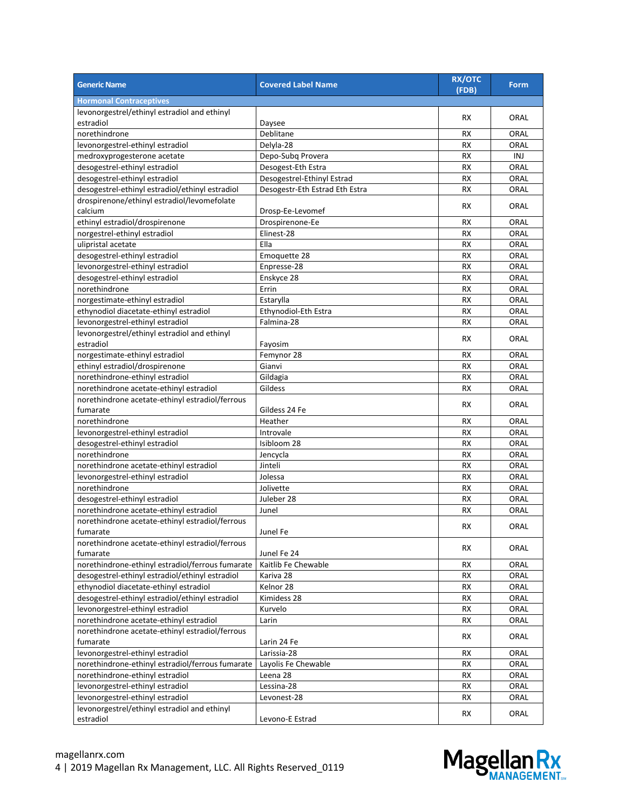| <b>Generic Name</b>                              | <b>Covered Label Name</b>      | <b>RX/OTC</b><br>(FDB) | <b>Form</b> |
|--------------------------------------------------|--------------------------------|------------------------|-------------|
| <b>Hormonal Contraceptives</b>                   |                                |                        |             |
| levonorgestrel/ethinyl estradiol and ethinyl     |                                | RX                     | ORAL        |
| estradiol                                        | Daysee                         |                        |             |
| norethindrone                                    | Deblitane                      | <b>RX</b>              | ORAL        |
| levonorgestrel-ethinyl estradiol                 | Delyla-28                      | <b>RX</b>              | ORAL        |
| medroxyprogesterone acetate                      | Depo-Subq Provera              | <b>RX</b>              | INJ         |
| desogestrel-ethinyl estradiol                    | Desogest-Eth Estra             | RX                     | ORAL        |
| desogestrel-ethinyl estradiol                    | Desogestrel-Ethinyl Estrad     | <b>RX</b>              | ORAL        |
| desogestrel-ethinyl estradiol/ethinyl estradiol  | Desogestr-Eth Estrad Eth Estra | <b>RX</b>              | ORAL        |
| drospirenone/ethinyl estradiol/levomefolate      |                                |                        |             |
| calcium                                          | Drosp-Ee-Levomef               | RX                     | ORAL        |
| ethinyl estradiol/drospirenone                   | Drospirenone-Ee                | RX                     | ORAL        |
| norgestrel-ethinyl estradiol                     | Elinest-28                     | <b>RX</b>              | ORAL        |
| ulipristal acetate                               | Ella                           | <b>RX</b>              | ORAL        |
| desogestrel-ethinyl estradiol                    | Emoquette 28                   | <b>RX</b>              | ORAL        |
| levonorgestrel-ethinyl estradiol                 | Enpresse-28                    | RX                     | ORAL        |
| desogestrel-ethinyl estradiol                    | Enskyce 28                     | <b>RX</b>              | ORAL        |
| norethindrone                                    | Errin                          | <b>RX</b>              | ORAL        |
| norgestimate-ethinyl estradiol                   | Estarylla                      | <b>RX</b>              | ORAL        |
| ethynodiol diacetate-ethinyl estradiol           | Ethynodiol-Eth Estra           | <b>RX</b>              | ORAL        |
| levonorgestrel-ethinyl estradiol                 | Falmina-28                     | <b>RX</b>              | ORAL        |
| levonorgestrel/ethinyl estradiol and ethinyl     |                                |                        |             |
| estradiol                                        | Fayosim                        | RX                     | ORAL        |
| norgestimate-ethinyl estradiol                   | Femynor 28                     | RX                     | ORAL        |
| ethinyl estradiol/drospirenone                   | Gianvi                         | <b>RX</b>              | ORAL        |
| norethindrone-ethinyl estradiol                  | Gildagia                       | RX                     | ORAL        |
| norethindrone acetate-ethinyl estradiol          | Gildess                        | RX                     | ORAL        |
| norethindrone acetate-ethinyl estradiol/ferrous  |                                |                        |             |
| fumarate                                         | Gildess 24 Fe                  | <b>RX</b>              | ORAL        |
| norethindrone                                    | Heather                        | RX                     | ORAL        |
| levonorgestrel-ethinyl estradiol                 | Introvale                      | <b>RX</b>              | ORAL        |
| desogestrel-ethinyl estradiol                    | Isibloom 28                    | <b>RX</b>              | ORAL        |
| norethindrone                                    | Jencycla                       | <b>RX</b>              | ORAL        |
| norethindrone acetate-ethinyl estradiol          | Jinteli                        | <b>RX</b>              | ORAL        |
| levonorgestrel-ethinyl estradiol                 | Jolessa                        | <b>RX</b>              | ORAL        |
| norethindrone                                    | Jolivette                      | <b>RX</b>              | ORAL        |
| desogestrel-ethinyl estradiol                    | Juleber 28                     | <b>RX</b>              | ORAL        |
| norethindrone acetate-ethinyl estradiol          | Junel                          | RX                     | ORAL        |
| norethindrone acetate-ethinyl estradiol/ferrous  |                                |                        |             |
| fumarate                                         | Junel Fe                       | RX                     | ORAL        |
| norethindrone acetate-ethinyl estradiol/ferrous  |                                |                        |             |
| fumarate                                         | Junel Fe 24                    | RX                     | ORAL        |
| norethindrone-ethinyl estradiol/ferrous fumarate | Kaitlib Fe Chewable            | RX                     | ORAL        |
| desogestrel-ethinyl estradiol/ethinyl estradiol  | Kariva 28                      | <b>RX</b>              | ORAL        |
| ethynodiol diacetate-ethinyl estradiol           | Kelnor 28                      | RX                     | ORAL        |
| desogestrel-ethinyl estradiol/ethinyl estradiol  | Kimidess 28                    | <b>RX</b>              | ORAL        |
| levonorgestrel-ethinyl estradiol                 | Kurvelo                        | RX                     | ORAL        |
| norethindrone acetate-ethinyl estradiol          | Larin                          | RX                     | ORAL        |
| norethindrone acetate-ethinyl estradiol/ferrous  |                                |                        |             |
| fumarate                                         | Larin 24 Fe                    | RX                     | ORAL        |
| levonorgestrel-ethinyl estradiol                 | Larissia-28                    | RX                     | ORAL        |
| norethindrone-ethinyl estradiol/ferrous fumarate | Layolis Fe Chewable            | RX                     | ORAL        |
| norethindrone-ethinyl estradiol                  | Leena 28                       |                        |             |
|                                                  |                                | RX                     | ORAL        |
| levonorgestrel-ethinyl estradiol                 | Lessina-28                     | <b>RX</b>              | ORAL        |
| levonorgestrel-ethinyl estradiol                 | Levonest-28                    | RX                     | ORAL        |
| levonorgestrel/ethinyl estradiol and ethinyl     |                                | RX                     | ORAL        |
| estradiol                                        | Levono-E Estrad                |                        |             |

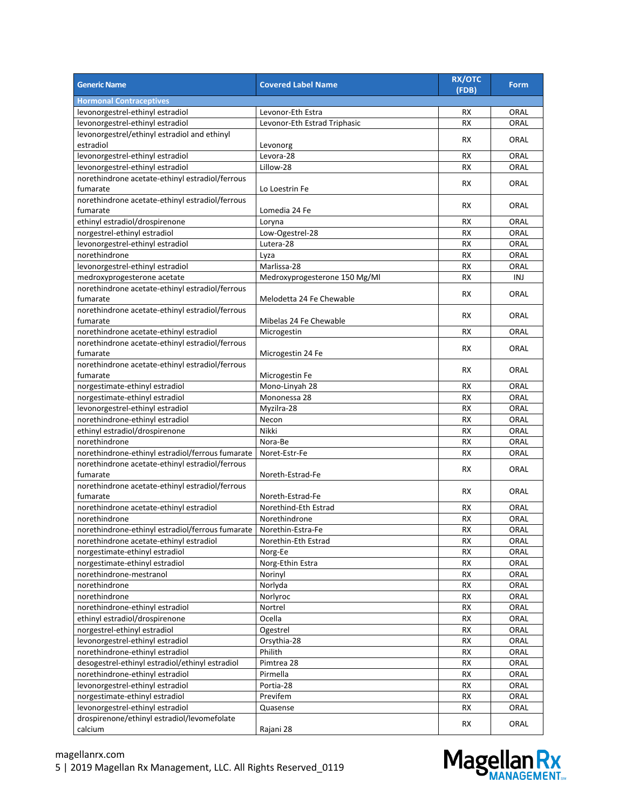| <b>Generic Name</b>                              | <b>Covered Label Name</b>     | <b>RX/OTC</b><br>(FDB) | <b>Form</b> |
|--------------------------------------------------|-------------------------------|------------------------|-------------|
| <b>Hormonal Contraceptives</b>                   |                               |                        |             |
| levonorgestrel-ethinyl estradiol                 | Levonor-Eth Estra             | RX                     | ORAL        |
| levonorgestrel-ethinyl estradiol                 | Levonor-Eth Estrad Triphasic  | <b>RX</b>              | ORAL        |
| levonorgestrel/ethinyl estradiol and ethinyl     |                               | <b>RX</b>              | ORAL        |
| estradiol                                        | Levonorg                      |                        |             |
| levonorgestrel-ethinyl estradiol                 | Levora-28                     | <b>RX</b>              | ORAL        |
| levonorgestrel-ethinyl estradiol                 | Lillow-28                     | <b>RX</b>              | ORAL        |
| norethindrone acetate-ethinyl estradiol/ferrous  |                               |                        |             |
| fumarate                                         | Lo Loestrin Fe                | RX                     | ORAL        |
| norethindrone acetate-ethinyl estradiol/ferrous  |                               | <b>RX</b>              |             |
| fumarate                                         | Lomedia 24 Fe                 |                        | ORAL        |
| ethinyl estradiol/drospirenone                   | Loryna                        | RX                     | ORAL        |
| norgestrel-ethinyl estradiol                     | Low-Ogestrel-28               | <b>RX</b>              | ORAL        |
| levonorgestrel-ethinyl estradiol                 | Lutera-28                     | <b>RX</b>              | ORAL        |
| norethindrone                                    | Lyza                          | <b>RX</b>              | ORAL        |
| levonorgestrel-ethinyl estradiol                 | Marlissa-28                   | <b>RX</b>              | ORAL        |
| medroxyprogesterone acetate                      | Medroxyprogesterone 150 Mg/Ml | <b>RX</b>              | INJ         |
| norethindrone acetate-ethinyl estradiol/ferrous  |                               |                        |             |
| fumarate                                         | Melodetta 24 Fe Chewable      | RX                     | ORAL        |
| norethindrone acetate-ethinyl estradiol/ferrous  |                               |                        |             |
| fumarate                                         | Mibelas 24 Fe Chewable        | RX                     | ORAL        |
| norethindrone acetate-ethinyl estradiol          | Microgestin                   | <b>RX</b>              | ORAL        |
| norethindrone acetate-ethinyl estradiol/ferrous  |                               |                        |             |
| fumarate                                         | Microgestin 24 Fe             | <b>RX</b>              | ORAL        |
| norethindrone acetate-ethinyl estradiol/ferrous  |                               |                        |             |
| fumarate                                         | Microgestin Fe                | RX                     | ORAL        |
| norgestimate-ethinyl estradiol                   | Mono-Linyah 28                | RX                     | ORAL        |
| norgestimate-ethinyl estradiol                   | Mononessa 28                  | <b>RX</b>              | ORAL        |
| levonorgestrel-ethinyl estradiol                 | Myzilra-28                    | <b>RX</b>              | ORAL        |
| norethindrone-ethinyl estradiol                  | Necon                         | <b>RX</b>              | ORAL        |
| ethinyl estradiol/drospirenone                   | Nikki                         | <b>RX</b>              | ORAL        |
| norethindrone                                    | Nora-Be                       | <b>RX</b>              | ORAL        |
| norethindrone-ethinyl estradiol/ferrous fumarate | Noret-Estr-Fe                 | RX                     | ORAL        |
| norethindrone acetate-ethinyl estradiol/ferrous  |                               |                        |             |
| fumarate                                         | Noreth-Estrad-Fe              | RX                     | ORAL        |
| norethindrone acetate-ethinyl estradiol/ferrous  |                               |                        |             |
| fumarate                                         | Noreth-Estrad-Fe              | RX                     | ORAL        |
| norethindrone acetate-ethinyl estradiol          | Norethind-Eth Estrad          | RX                     | ORAL        |
| norethindrone                                    | Norethindrone                 | <b>RX</b>              | ORAL        |
| norethindrone-ethinyl estradiol/ferrous fumarate | Norethin-Estra-Fe             | <b>RX</b>              | ORAL        |
|                                                  |                               |                        |             |
| norethindrone acetate-ethinyl estradiol          | Norethin-Eth Estrad           | RX                     | ORAL        |
| norgestimate-ethinyl estradiol                   | Norg-Ee                       | RX                     | ORAL        |
| norgestimate-ethinyl estradiol                   | Norg-Ethin Estra              | <b>RX</b>              | ORAL        |
| norethindrone-mestranol                          | Norinyl                       | <b>RX</b>              | ORAL        |
| norethindrone                                    | Norlyda                       | RX                     | ORAL        |
| norethindrone                                    | Norlyroc                      | <b>RX</b>              | ORAL        |
| norethindrone-ethinyl estradiol                  | Nortrel                       | RX                     | ORAL        |
| ethinyl estradiol/drospirenone                   | Ocella                        | RX                     | ORAL        |
| norgestrel-ethinyl estradiol                     | Ogestrel                      | RX                     | ORAL        |
| levonorgestrel-ethinyl estradiol                 | Orsythia-28                   | <b>RX</b>              | ORAL        |
| norethindrone-ethinyl estradiol                  | Philith                       | RX                     | ORAL        |
| desogestrel-ethinyl estradiol/ethinyl estradiol  | Pimtrea 28                    | RX                     | ORAL        |
| norethindrone-ethinyl estradiol                  | Pirmella                      | RX                     | ORAL        |
| levonorgestrel-ethinyl estradiol                 | Portia-28                     | RX                     | ORAL        |
| norgestimate-ethinyl estradiol                   | Previfem                      | <b>RX</b>              | ORAL        |
| levonorgestrel-ethinyl estradiol                 | Quasense                      | RX                     | ORAL        |
| drospirenone/ethinyl estradiol/levomefolate      |                               | RX                     | ORAL        |
| calcium                                          | Rajani 28                     |                        |             |

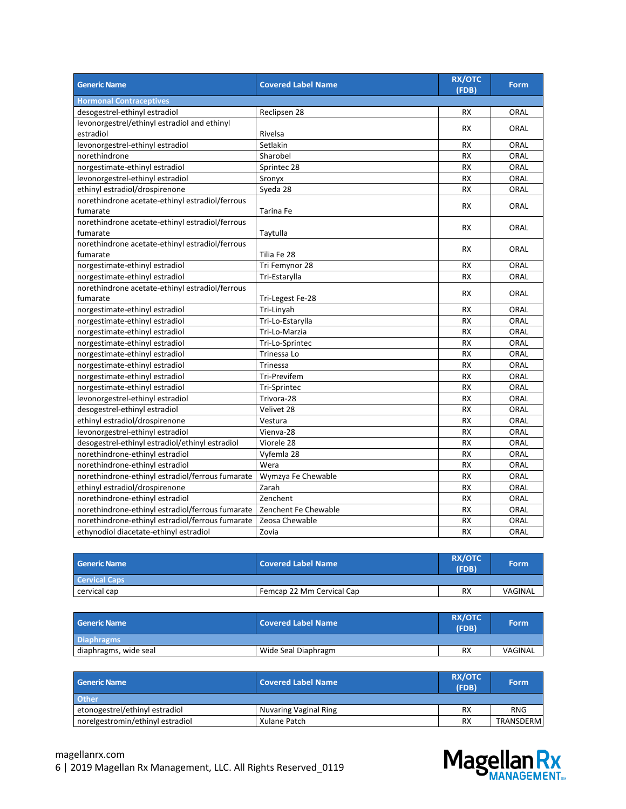| <b>Generic Name</b>                              | <b>Covered Label Name</b> | <b>RX/OTC</b><br>(FDB) | <b>Form</b> |
|--------------------------------------------------|---------------------------|------------------------|-------------|
| <b>Hormonal Contraceptives</b>                   |                           |                        |             |
| desogestrel-ethinyl estradiol                    | Reclipsen 28              | <b>RX</b>              | ORAL        |
| levonorgestrel/ethinyl estradiol and ethinyl     |                           | <b>RX</b>              | ORAL        |
| estradiol                                        | Rivelsa                   |                        |             |
| levonorgestrel-ethinyl estradiol                 | Setlakin                  | <b>RX</b>              | ORAL        |
| norethindrone                                    | Sharobel                  | <b>RX</b>              | ORAL        |
| norgestimate-ethinyl estradiol                   | Sprintec 28               | <b>RX</b>              | ORAL        |
| levonorgestrel-ethinyl estradiol                 | Sronyx                    | <b>RX</b>              | ORAL        |
| ethinyl estradiol/drospirenone                   | Syeda 28                  | <b>RX</b>              | ORAL        |
| norethindrone acetate-ethinyl estradiol/ferrous  |                           | <b>RX</b>              | <b>ORAL</b> |
| fumarate                                         | Tarina Fe                 |                        |             |
| norethindrone acetate-ethinyl estradiol/ferrous  |                           | <b>RX</b>              | <b>ORAL</b> |
| fumarate                                         | Taytulla                  |                        |             |
| norethindrone acetate-ethinyl estradiol/ferrous  |                           | <b>RX</b>              | <b>ORAL</b> |
| fumarate                                         | Tilia Fe 28               |                        |             |
| norgestimate-ethinyl estradiol                   | Tri Femynor 28            | <b>RX</b>              | ORAL        |
| norgestimate-ethinyl estradiol                   | Tri-Estarylla             | <b>RX</b>              | ORAL        |
| norethindrone acetate-ethinyl estradiol/ferrous  |                           | <b>RX</b>              | ORAL        |
| fumarate                                         | Tri-Legest Fe-28          |                        |             |
| norgestimate-ethinyl estradiol                   | Tri-Linyah                | <b>RX</b>              | ORAL        |
| norgestimate-ethinyl estradiol                   | Tri-Lo-Estarylla          | <b>RX</b>              | ORAL        |
| norgestimate-ethinyl estradiol                   | Tri-Lo-Marzia             | <b>RX</b>              | <b>ORAL</b> |
| norgestimate-ethinyl estradiol                   | Tri-Lo-Sprintec           | RX                     | ORAL        |
| norgestimate-ethinyl estradiol                   | Trinessa Lo               | <b>RX</b>              | ORAL        |
| norgestimate-ethinyl estradiol                   | Trinessa                  | <b>RX</b>              | ORAL        |
| norgestimate-ethinyl estradiol                   | Tri-Previfem              | <b>RX</b>              | ORAL        |
| norgestimate-ethinyl estradiol                   | Tri-Sprintec              | <b>RX</b>              | ORAL        |
| levonorgestrel-ethinyl estradiol                 | Trivora-28                | RX                     | ORAL        |
| desogestrel-ethinyl estradiol                    | Velivet 28                | <b>RX</b>              | ORAL        |
| ethinyl estradiol/drospirenone                   | Vestura                   | <b>RX</b>              | ORAL        |
| levonorgestrel-ethinyl estradiol                 | Vienva-28                 | <b>RX</b>              | <b>ORAL</b> |
| desogestrel-ethinyl estradiol/ethinyl estradiol  | Viorele 28                | RX                     | ORAL        |
| norethindrone-ethinyl estradiol                  | Vyfemla 28                | <b>RX</b>              | ORAL        |
| norethindrone-ethinyl estradiol                  | Wera                      | <b>RX</b>              | ORAL        |
| norethindrone-ethinyl estradiol/ferrous fumarate | Wymzya Fe Chewable        | <b>RX</b>              | ORAL        |
| ethinyl estradiol/drospirenone                   | Zarah                     | <b>RX</b>              | ORAL        |
| norethindrone-ethinyl estradiol                  | Zenchent                  | RX                     | ORAL        |
| norethindrone-ethinyl estradiol/ferrous fumarate | Zenchent Fe Chewable      | <b>RX</b>              | <b>ORAL</b> |
| norethindrone-ethinyl estradiol/ferrous fumarate | Zeosa Chewable            | <b>RX</b>              | ORAL        |
| ethynodiol diacetate-ethinyl estradiol           | Zovia                     | <b>RX</b>              | <b>ORAL</b> |

| <b>Generic Name</b>  | <b>Covered Label Name</b> | <b>RX/OTC</b><br>(FDB) | <b>Form</b> |
|----------------------|---------------------------|------------------------|-------------|
| <b>Cervical Caps</b> |                           |                        |             |
| cervical cap         | Femcap 22 Mm Cervical Cap | <b>RX</b>              | VAGINAL     |

| <b>Generic Name</b>   | <b>Covered Label Name</b> | <b>RX/OTC</b><br>(FDB) | Form    |
|-----------------------|---------------------------|------------------------|---------|
| <b>Diaphragms</b>     |                           |                        |         |
| diaphragms, wide seal | Wide Seal Diaphragm       | <b>RX</b>              | VAGINAL |

| <b>Generic Name</b>              | <b>Covered Label Name</b> | <b>RX/OTC</b><br>(FDB) | <b>Form</b> |
|----------------------------------|---------------------------|------------------------|-------------|
| <b>Other</b>                     |                           |                        |             |
| etonogestrel/ethinyl estradiol   | Nuvaring Vaginal Ring     | <b>RX</b>              | <b>RNG</b>  |
| norelgestromin/ethinyl estradiol | Xulane Patch              | <b>RX</b>              | TRANSDERM   |

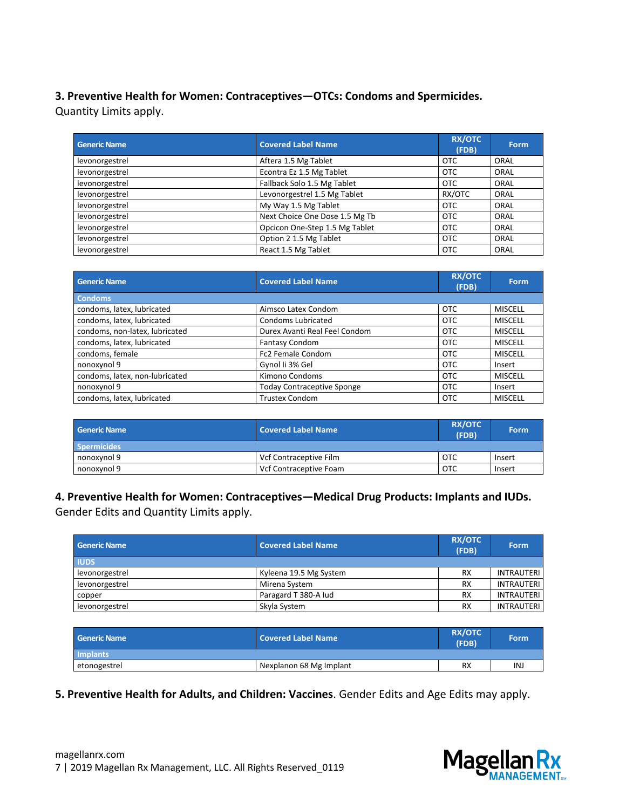#### **3. Preventive Health for Women: Contraceptives—OTCs: Condoms and Spermicides.** Quantity Limits apply.

| <b>Generic Name</b> | <b>Covered Label Name</b>      | <b>RX/OTC</b><br>(FDB) | Form |
|---------------------|--------------------------------|------------------------|------|
| levonorgestrel      | Aftera 1.5 Mg Tablet           | <b>OTC</b>             | ORAL |
| levonorgestrel      | Econtra Ez 1.5 Mg Tablet       | <b>OTC</b>             | ORAL |
| levonorgestrel      | Fallback Solo 1.5 Mg Tablet    | <b>OTC</b>             | ORAL |
| levonorgestrel      | Levonorgestrel 1.5 Mg Tablet   | RX/OTC                 | ORAL |
| levonorgestrel      | My Way 1.5 Mg Tablet           | <b>OTC</b>             | ORAL |
| levonorgestrel      | Next Choice One Dose 1.5 Mg Tb | <b>OTC</b>             | ORAL |
| levonorgestrel      | Opcicon One-Step 1.5 Mg Tablet | <b>OTC</b>             | ORAL |
| levonorgestrel      | Option 2 1.5 Mg Tablet         | <b>OTC</b>             | ORAL |
| levonorgestrel      | React 1.5 Mg Tablet            | <b>OTC</b>             | ORAL |

| <b>Generic Name</b>            | <b>Covered Label Name</b>         | <b>RX/OTC</b><br>(FDB) | <b>Form</b>    |
|--------------------------------|-----------------------------------|------------------------|----------------|
| <b>Condoms</b>                 |                                   |                        |                |
| condoms, latex, lubricated     | Aimsco Latex Condom               | <b>OTC</b>             | <b>MISCELL</b> |
| condoms, latex, lubricated     | Condoms Lubricated                | <b>OTC</b>             | <b>MISCELL</b> |
| condoms, non-latex, lubricated | Durex Avanti Real Feel Condom     | <b>OTC</b>             | <b>MISCELL</b> |
| condoms, latex, lubricated     | Fantasy Condom                    | <b>OTC</b>             | <b>MISCELL</b> |
| condoms, female                | Fc2 Female Condom                 | <b>OTC</b>             | <b>MISCELL</b> |
| nonoxynol 9                    | Gynol Ii 3% Gel                   | <b>OTC</b>             | Insert         |
| condoms, latex, non-lubricated | Kimono Condoms                    | <b>OTC</b>             | <b>MISCELL</b> |
| nonoxynol 9                    | <b>Today Contraceptive Sponge</b> | <b>OTC</b>             | Insert         |
| condoms, latex, lubricated     | <b>Trustex Condom</b>             | <b>OTC</b>             | <b>MISCELL</b> |

| <b>Generic Name</b> | Covered Label Name     | <b>RX/OTC</b><br>(FDB) | <b>Form</b> |
|---------------------|------------------------|------------------------|-------------|
| <b>Spermicides</b>  |                        |                        |             |
| nonoxynol 9         | Vcf Contraceptive Film | <b>OTC</b>             | Insert      |
| nonoxynol 9         | Vcf Contraceptive Foam | <b>OTC</b>             | Insert      |

#### **4. Preventive Health for Women: Contraceptives—Medical Drug Products: Implants and IUDs.**

Gender Edits and Quantity Limits apply.

| Generic Name   | <b>Covered Label Name</b> | <b>RX/OTC</b><br>(FDB) | Form              |
|----------------|---------------------------|------------------------|-------------------|
| <b>IUDS</b>    |                           |                        |                   |
| levonorgestrel | Kyleena 19.5 Mg System    | <b>RX</b>              | <b>INTRAUTERI</b> |
| levonorgestrel | Mirena System             | <b>RX</b>              | <b>INTRAUTERI</b> |
| copper         | Paragard T 380-A lud      | <b>RX</b>              | <b>INTRAUTERI</b> |
| levonorgestrel | Skyla System              | <b>RX</b>              | <b>INTRAUTERI</b> |

| <b>Generic Name</b> | Covered Label Name      | <b>RX/OTC</b><br>(FDB) | Form |
|---------------------|-------------------------|------------------------|------|
| Implants            |                         |                        |      |
| etonogestrel        | Nexplanon 68 Mg Implant | <b>RX</b>              | INJ  |

#### **5. Preventive Health for Adults, and Children: Vaccines**. Gender Edits and Age Edits may apply.

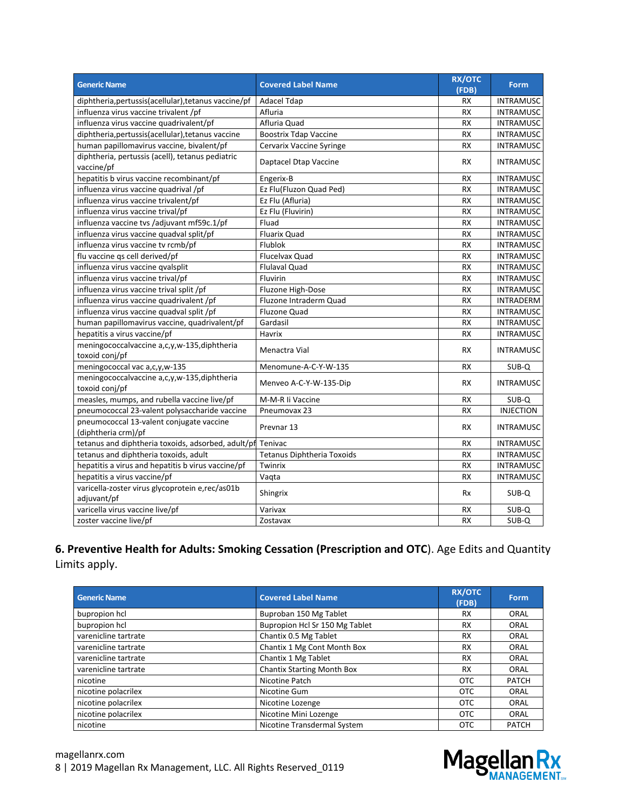| <b>Generic Name</b>                                             | <b>Covered Label Name</b>         | <b>RX/OTC</b><br>(FDB) | <b>Form</b>      |
|-----------------------------------------------------------------|-----------------------------------|------------------------|------------------|
| diphtheria, pertussis (acellular), tetanus vaccine/pf           | Adacel Tdap                       | <b>RX</b>              | <b>INTRAMUSC</b> |
| influenza virus vaccine trivalent /pf                           | Afluria                           | <b>RX</b>              | <b>INTRAMUSC</b> |
| influenza virus vaccine quadrivalent/pf                         | Afluria Quad                      | <b>RX</b>              | <b>INTRAMUSC</b> |
| diphtheria, pertussis (acellular), tetanus vaccine              | <b>Boostrix Tdap Vaccine</b>      | <b>RX</b>              | <b>INTRAMUSC</b> |
| human papillomavirus vaccine, bivalent/pf                       | Cervarix Vaccine Syringe          | <b>RX</b>              | <b>INTRAMUSC</b> |
| diphtheria, pertussis (acell), tetanus pediatric<br>vaccine/pf  | Daptacel Dtap Vaccine             | <b>RX</b>              | <b>INTRAMUSC</b> |
| hepatitis b virus vaccine recombinant/pf                        | Engerix-B                         | <b>RX</b>              | <b>INTRAMUSC</b> |
| influenza virus vaccine quadrival /pf                           | Ez Flu(Fluzon Quad Ped)           | <b>RX</b>              | <b>INTRAMUSC</b> |
| influenza virus vaccine trivalent/pf                            | Ez Flu (Afluria)                  | <b>RX</b>              | <b>INTRAMUSC</b> |
| influenza virus vaccine trival/pf                               | Ez Flu (Fluvirin)                 | <b>RX</b>              | <b>INTRAMUSC</b> |
| influenza vaccine tvs /adjuvant mf59c.1/pf                      | Fluad                             | <b>RX</b>              | <b>INTRAMUSC</b> |
| influenza virus vaccine quadval split/pf                        | <b>Fluarix Quad</b>               | <b>RX</b>              | <b>INTRAMUSC</b> |
| influenza virus vaccine tv rcmb/pf                              | Flublok                           | <b>RX</b>              | <b>INTRAMUSC</b> |
| flu vaccine qs cell derived/pf                                  | Flucelvax Quad                    | <b>RX</b>              | <b>INTRAMUSC</b> |
| influenza virus vaccine qvalsplit                               | <b>Flulaval Quad</b>              | <b>RX</b>              | <b>INTRAMUSC</b> |
| influenza virus vaccine trival/pf                               | Fluvirin                          | <b>RX</b>              | <b>INTRAMUSC</b> |
| influenza virus vaccine trival split /pf                        | Fluzone High-Dose                 | <b>RX</b>              | <b>INTRAMUSC</b> |
| influenza virus vaccine quadrivalent /pf                        | Fluzone Intraderm Quad            | <b>RX</b>              | <b>INTRADERM</b> |
| influenza virus vaccine quadval split /pf                       | <b>Fluzone Quad</b>               | <b>RX</b>              | <b>INTRAMUSC</b> |
| human papillomavirus vaccine, quadrivalent/pf                   | Gardasil                          | <b>RX</b>              | <b>INTRAMUSC</b> |
| hepatitis a virus vaccine/pf                                    | Havrix                            | <b>RX</b>              | <b>INTRAMUSC</b> |
| meningococcalvaccine a,c,y,w-135,diphtheria<br>toxoid conj/pf   | Menactra Vial                     | <b>RX</b>              | <b>INTRAMUSC</b> |
| meningococcal vac a,c,y,w-135                                   | Menomune-A-C-Y-W-135              | <b>RX</b>              | SUB-Q            |
| meningococcalvaccine a,c,y,w-135,diphtheria<br>toxoid conj/pf   | Menveo A-C-Y-W-135-Dip            | <b>RX</b>              | <b>INTRAMUSC</b> |
| measles, mumps, and rubella vaccine live/pf                     | M-M-R li Vaccine                  | <b>RX</b>              | SUB-Q            |
| pneumococcal 23-valent polysaccharide vaccine                   | Pneumovax 23                      | <b>RX</b>              | <b>INJECTION</b> |
| pneumococcal 13-valent conjugate vaccine<br>(diphtheria crm)/pf | Prevnar 13                        | <b>RX</b>              | <b>INTRAMUSC</b> |
| tetanus and diphtheria toxoids, adsorbed, adult/pf Tenivac      |                                   | <b>RX</b>              | <b>INTRAMUSC</b> |
| tetanus and diphtheria toxoids, adult                           | <b>Tetanus Diphtheria Toxoids</b> | <b>RX</b>              | <b>INTRAMUSC</b> |
| hepatitis a virus and hepatitis b virus vaccine/pf              | Twinrix                           | <b>RX</b>              | <b>INTRAMUSC</b> |
| hepatitis a virus vaccine/pf                                    | Vaqta                             | <b>RX</b>              | <b>INTRAMUSC</b> |
| varicella-zoster virus glycoprotein e,rec/as01b<br>adjuvant/pf  | Shingrix                          | Rx                     | SUB-Q            |
| varicella virus vaccine live/pf                                 | Varivax                           | <b>RX</b>              | SUB-Q            |
| zoster vaccine live/pf                                          | Zostavax                          | <b>RX</b>              | SUB-Q            |

#### **6. Preventive Health for Adults: Smoking Cessation (Prescription and OTC**). Age Edits and Quantity Limits apply.

| <b>Generic Name</b>  | <b>Covered Label Name</b>         | <b>RX/OTC</b><br>(FDB) | Form         |
|----------------------|-----------------------------------|------------------------|--------------|
| bupropion hcl        | Buproban 150 Mg Tablet            | <b>RX</b>              | ORAL         |
| bupropion hcl        | Bupropion Hcl Sr 150 Mg Tablet    | <b>RX</b>              | ORAL         |
| varenicline tartrate | Chantix 0.5 Mg Tablet             | <b>RX</b>              | ORAL         |
| varenicline tartrate | Chantix 1 Mg Cont Month Box       | <b>RX</b>              | ORAL         |
| varenicline tartrate | Chantix 1 Mg Tablet               | <b>RX</b>              | ORAL         |
| varenicline tartrate | <b>Chantix Starting Month Box</b> | <b>RX</b>              | ORAL         |
| nicotine             | Nicotine Patch                    | <b>OTC</b>             | <b>PATCH</b> |
| nicotine polacrilex  | Nicotine Gum                      | <b>OTC</b>             | ORAL         |
| nicotine polacrilex  | Nicotine Lozenge                  | <b>OTC</b>             | ORAL         |
| nicotine polacrilex  | Nicotine Mini Lozenge             | <b>OTC</b>             | ORAL         |
| nicotine             | Nicotine Transdermal System       | <b>OTC</b>             | <b>PATCH</b> |